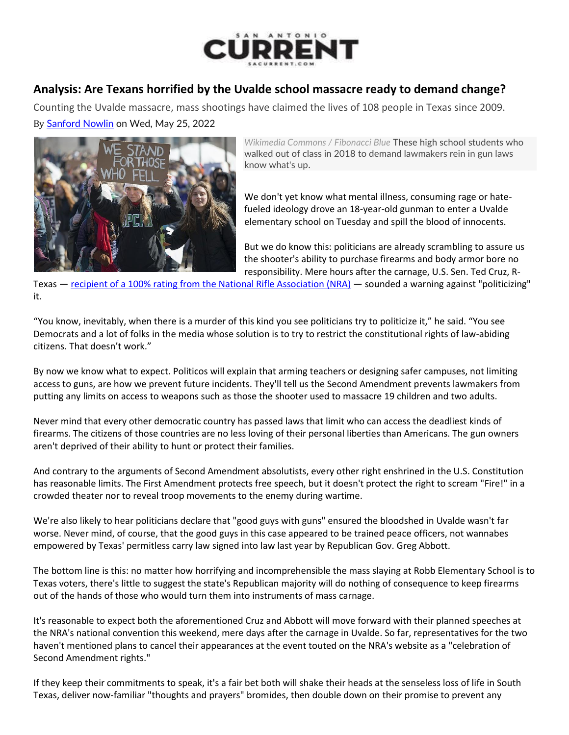

## **Analysis: Are Texans horrified by the Uvalde school massacre ready to demand change?**

Counting the Uvalde massacre, mass shootings have claimed the lives of 108 people in Texas since 2009.

By [Sanford Nowlin](https://www.sacurrent.com/author/sanford-nowlin) on Wed, May 25, 2022



*Wikimedia Commons / Fibonacci Blue* These high school students who walked out of class in 2018 to demand lawmakers rein in gun laws know what's up.

We don't yet know what mental illness, consuming rage or hatefueled ideology drove an 18-year-old gunman to enter a Uvalde elementary school on Tuesday and spill the blood of innocents.

But we do know this: politicians are already scrambling to assure us the shooter's ability to purchase firearms and body armor bore no responsibility. Mere hours after the carnage, U.S. Sen. Ted Cruz, R-

Texas — [recipient of a 100% rating from the National Rifle Association \(NRA\)](https://justfacts.votesmart.org/candidate/evaluations/135705/ted-cruz) — sounded a warning against "politicizing" it.

"You know, inevitably, when there is a murder of this kind you see politicians try to politicize it," he said. "You see Democrats and a lot of folks in the media whose solution is to try to restrict the constitutional rights of law-abiding citizens. That doesn't work."

By now we know what to expect. Politicos will explain that arming teachers or designing safer campuses, not limiting access to guns, are how we prevent future incidents. They'll tell us the Second Amendment prevents lawmakers from putting any limits on access to weapons such as those the shooter used to massacre 19 children and two adults.

Never mind that every other democratic country has passed laws that limit who can access the deadliest kinds of firearms. The citizens of those countries are no less loving of their personal liberties than Americans. The gun owners aren't deprived of their ability to hunt or protect their families.

And contrary to the arguments of Second Amendment absolutists, every other right enshrined in the U.S. Constitution has reasonable limits. The First Amendment protects free speech, but it doesn't protect the right to scream "Fire!" in a crowded theater nor to reveal troop movements to the enemy during wartime.

We're also likely to hear politicians declare that "good guys with guns" ensured the bloodshed in Uvalde wasn't far worse. Never mind, of course, that the good guys in this case appeared to be trained peace officers, not wannabes empowered by Texas' permitless carry law signed into law last year by Republican Gov. Greg Abbott.

The bottom line is this: no matter how horrifying and incomprehensible the mass slaying at Robb Elementary School is to Texas voters, there's little to suggest the state's Republican majority will do nothing of consequence to keep firearms out of the hands of those who would turn them into instruments of mass carnage.

It's reasonable to expect both the aforementioned Cruz and Abbott will move forward with their planned speeches at the NRA's national convention this weekend, mere days after the carnage in Uvalde. So far, representatives for the two haven't mentioned plans to cancel their appearances at the event touted on the NRA's website as a "celebration of Second Amendment rights."

If they keep their commitments to speak, it's a fair bet both will shake their heads at the senseless loss of life in South Texas, deliver now-familiar "thoughts and prayers" bromides, then double down on their promise to prevent any